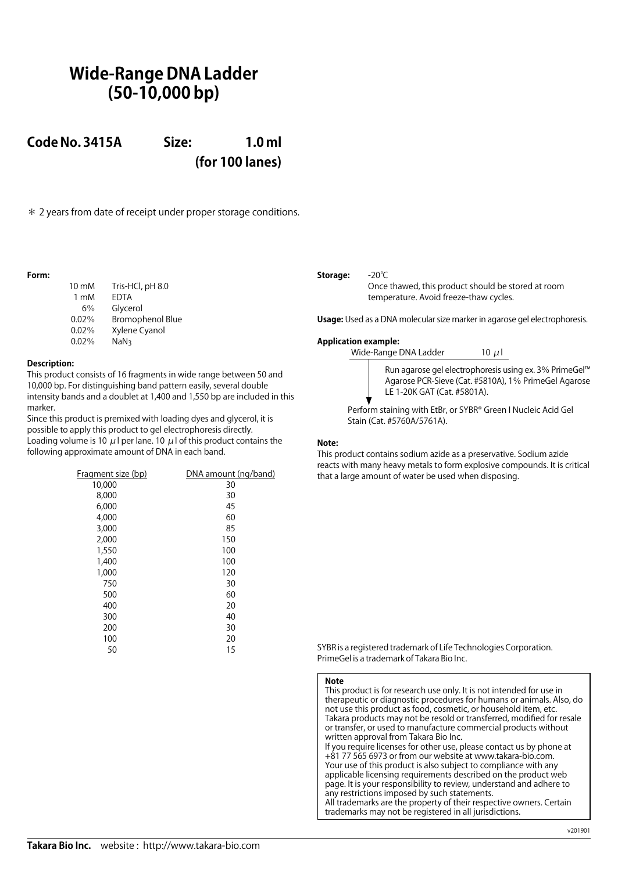# **Wide-Range DNA Ladder (50-10,000 bp)**

**Code No. 3415A Size: 1.0 ml (for 100 lanes)**

\* 2 years from date of receipt under proper storage conditions.

# **Form:**

| Tris-HCl, pH 8.0        |
|-------------------------|
| <b>EDTA</b>             |
| Glycerol                |
| <b>Bromophenol Blue</b> |
| Xylene Cyanol           |
| NaN <sub>3</sub>        |
|                         |

## **Description:**

This product consists of 16 fragments in wide range between 50 and 10,000 bp. For distinguishing band pattern easily, several double intensity bands and a doublet at 1,400 and 1,550 bp are included in this marker.

Since this product is premixed with loading dyes and glycerol, it is possible to apply this product to gel electrophoresis directly. Loading volume is 10  $\mu$ l per lane. 10  $\mu$ l of this product contains the following approximate amount of DNA in each band.

| Fragment size (bp) | DNA amount (ng/band) |
|--------------------|----------------------|
| 10,000             | 30                   |
| 8,000              | 30                   |
| 6,000              | 45                   |
| 4,000              | 60                   |
| 3,000              | 85                   |
| 2,000              | 150                  |
| 1,550              | 100                  |
| 1,400              | 100                  |
| 1,000              | 120                  |
| 750                | 30                   |
| 500                | 60                   |
| 400                | 20                   |
| 300                | 40                   |
| 200                | 30                   |
| 100                | 20                   |
| 50                 | 15                   |

# **Storage:** -20℃

Once thawed, this product should be stored at room temperature. Avoid freeze-thaw cycles.

**Usage:** Used as a DNA molecular size marker in agarose gel electrophoresis.

### **Application example:**

Wide-Range DNA Ladder  $10 \mu$ l



Run agarose gel electrophoresis using ex. 3% PrimeGel™ Agarose PCR-Sieve (Cat. #5810A), 1% PrimeGel Agarose LE 1-20K GAT (Cat. #5801A).

Perform staining with EtBr, or SYBR® Green I Nucleic Acid Gel Stain (Cat. #5760A/5761A).

#### **Note:**

This product contains sodium azide as a preservative. Sodium azide reacts with many heavy metals to form explosive compounds. It is critical that a large amount of water be used when disposing.

SYBR is a registered trademark of Life Technologies Corporation. PrimeGel is a trademark of Takara Bio Inc.

#### **Note**

This product is for research use only. It is not intended for use in therapeutic or diagnostic procedures for humans or animals. Also, do not use this product as food, cosmetic, or household item, etc. Takara products may not be resold or transferred, modified for resale or transfer, or used to manufacture commercial products without written approval from Takara Bio Inc. If you require licenses for other use, please contact us by phone at +81 77 565 6973 or from our website at www.takara-bio.com. Your use of this product is also subject to compliance with any applicable licensing requirements described on the product web page. It is your responsibility to review, understand and adhere to any restrictions imposed by such statements.

All trademarks are the property of their respective owners. Certain trademarks may not be registered in all jurisdictions.